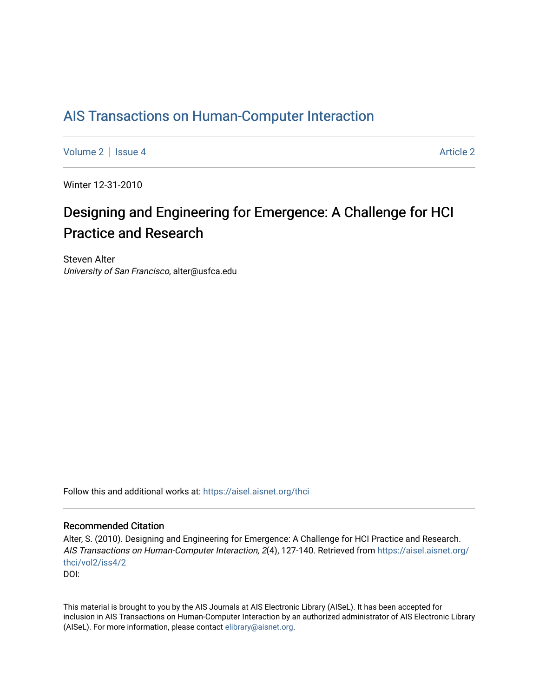## [AIS Transactions on Human-Computer Interaction](https://aisel.aisnet.org/thci)

[Volume 2](https://aisel.aisnet.org/thci/vol2) | [Issue 4](https://aisel.aisnet.org/thci/vol2/iss4) [Article 2](https://aisel.aisnet.org/thci/vol2/iss4/2) Article 2

Winter 12-31-2010

# Designing and Engineering for Emergence: A Challenge for HCI Practice and Research

Steven Alter University of San Francisco, alter@usfca.edu

Follow this and additional works at: [https://aisel.aisnet.org/thci](https://aisel.aisnet.org/thci?utm_source=aisel.aisnet.org%2Fthci%2Fvol2%2Fiss4%2F2&utm_medium=PDF&utm_campaign=PDFCoverPages) 

#### Recommended Citation

Alter, S. (2010). Designing and Engineering for Emergence: A Challenge for HCI Practice and Research. AIS Transactions on Human-Computer Interaction, 2(4), 127-140. Retrieved from [https://aisel.aisnet.org/](https://aisel.aisnet.org/thci/vol2/iss4/2?utm_source=aisel.aisnet.org%2Fthci%2Fvol2%2Fiss4%2F2&utm_medium=PDF&utm_campaign=PDFCoverPages) [thci/vol2/iss4/2](https://aisel.aisnet.org/thci/vol2/iss4/2?utm_source=aisel.aisnet.org%2Fthci%2Fvol2%2Fiss4%2F2&utm_medium=PDF&utm_campaign=PDFCoverPages) DOI:

This material is brought to you by the AIS Journals at AIS Electronic Library (AISeL). It has been accepted for inclusion in AIS Transactions on Human-Computer Interaction by an authorized administrator of AIS Electronic Library (AISeL). For more information, please contact [elibrary@aisnet.org](mailto:elibrary@aisnet.org%3E).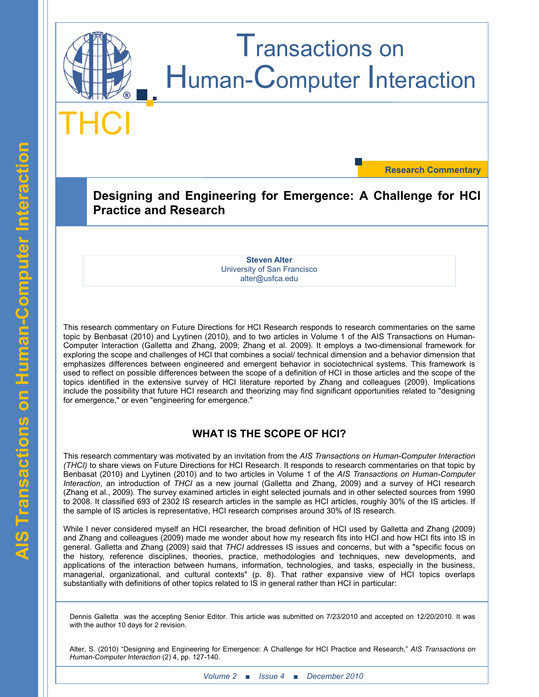

**Research Commentary**

**Designing and Engineering for Emergence: A Challenge for HCI Practice and Research**

> **Steven Alter** University of San Francisco alter@usfca.edu

This research commentary on Future Directions for HCI Research responds to research commentaries on the same topic by Benbasat (2010) and Lyytinen (2010), and to two articles in Volume 1 of the AIS Transactions on Human-Computer Interaction (Galletta and Zhang, 2009; Zhang et al. 2009). It employs a two-dimensional framework for exploring the scope and challenges of HCI that combines a social/ technical dimension and a behavior dimension that emphasizes differences between engineered and emergent behavior in sociotechnical systems. This framework is used to reflect on possible differences between the scope of a definition of HCI in those articles and the scope of the topics identified in the extensive survey of HCI literature reported by Zhang and colleagues (2009). Implications include the possibility that future HCI research and theorizing may find significant opportunities related to "designing for emergence," or even "engineering for emergence."

### **WHAT IS THE SCOPE OF HCI?**

This research commentary was motivated by an invitation from the *AIS Transactions on Human-Computer Interaction (THCI)* to share views on Future Directions for HCI Research. It responds to research commentaries on that topic by Benbasat (2010) and Lyytinen (2010) and to two articles in Volume 1 of the *AIS Transactions on Human-Computer Interaction*, an introduction of *THCI* as a new journal (Galletta and Zhang, 2009) and a survey of HCI research (Zhang et al., 2009). The survey examined articles in eight selected journals and in other selected sources from 1990 to 2008. It classified 693 of 2302 IS research articles in the sample as HCI articles, roughly 30% of the IS articles. If the sample of IS articles is representative, HCI research comprises around 30% of IS research.

While I never considered myself an HCI researcher, the broad definition of HCI used by Galletta and Zhang (2009) and Zhang and colleagues (2009) made me wonder about how my research fits into HCI and how HCI fits into IS in general. Galletta and Zhang (2009) said that *THCI* addresses IS issues and concerns, but with a "specific focus on the history, reference disciplines, theories, practice, methodologies and techniques, new developments, and applications of the interaction between humans, information, technologies, and tasks, especially in the business, managerial, organizational, and cultural contexts" (p. 8). That rather expansive view of HCI topics overlaps substantially with definitions of other topics related to IS in general rather than HCI in particular:

Dennis Galletta was the accepting Senior Editor. This article was submitted on 7/23/2010 and accepted on 12/20/2010. It was with the author 10 days for 2 revision.

Alter, S. (2010) "Designing and Engineering for Emergence: A Challenge for HCI Practice and Research," *AIS Transactions on Human-Computer Interaction* (2) 4, pp. 127-140.

*Volume 2* **■** *Issue 4* ■ *December* 2010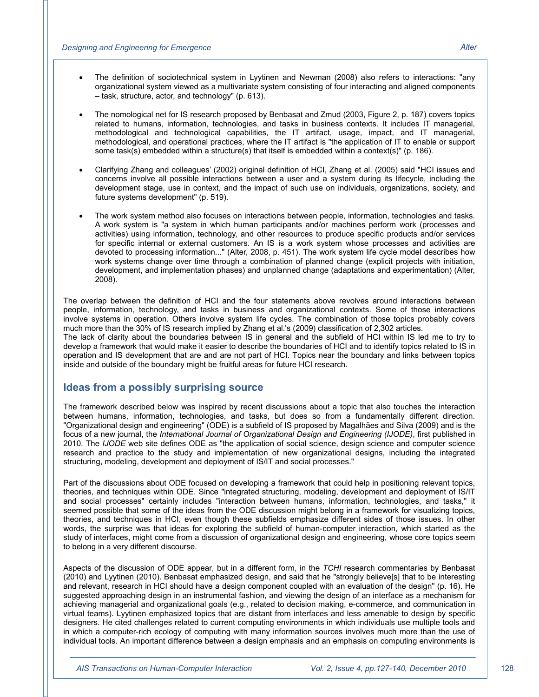- The definition of sociotechnical system in Lyytinen and Newman (2008) also refers to interactions: "any organizational system viewed as a multivariate system consisting of four interacting and aligned components – task, structure, actor, and technology" (p. 613).
- The nomological net for IS research proposed by Benbasat and Zmud (2003, Figure 2, p. 187) covers topics related to humans, information, technologies, and tasks in business contexts. It includes IT managerial, methodological and technological capabilities, the IT artifact, usage, impact, and IT managerial, methodological, and operational practices, where the IT artifact is "the application of IT to enable or support some task(s) embedded within a structure(s) that itself is embedded within a context(s)" (p. 186).
- x Clarifying Zhang and colleagues' (2002) original definition of HCI, Zhang et al. (2005) said "HCI issues and concerns involve all possible interactions between a user and a system during its lifecycle, including the development stage, use in context, and the impact of such use on individuals, organizations, society, and future systems development" (p. 519).
- The work system method also focuses on interactions between people, information, technologies and tasks. A work system is "a system in which human participants and/or machines perform work (processes and activities) using information, technology, and other resources to produce specific products and/or services for specific internal or external customers. An IS is a work system whose processes and activities are devoted to processing information..." (Alter, 2008, p. 451). The work system life cycle model describes how work systems change over time through a combination of planned change (explicit projects with initiation, development, and implementation phases) and unplanned change (adaptations and experimentation) (Alter, 2008).

The overlap between the definition of HCI and the four statements above revolves around interactions between people, information, technology, and tasks in business and organizational contexts. Some of those interactions involve systems in operation. Others involve system life cycles. The combination of those topics probably covers much more than the 30% of IS research implied by Zhang et al.'s (2009) classification of 2,302 articles.

The lack of clarity about the boundaries between IS in general and the subfield of HCI within IS led me to try to develop a framework that would make it easier to describe the boundaries of HCI and to identify topics related to IS in operation and IS development that are and are not part of HCI. Topics near the boundary and links between topics inside and outside of the boundary might be fruitful areas for future HCI research.

#### **Ideas from a possibly surprising source**

The framework described below was inspired by recent discussions about a topic that also touches the interaction between humans, information, technologies, and tasks, but does so from a fundamentally different direction. "Organizational design and engineering" (ODE) is a subfield of IS proposed by Magalhães and Silva (2009) and is the focus of a new journal, the *International Journal of Organizational Design and Engineering (IJODE)*, first published in 2010. The *IJODE* web site defines ODE as "the application of social science, design science and computer science research and practice to the study and implementation of new organizational designs, including the integrated structuring, modeling, development and deployment of IS/IT and social processes."

Part of the discussions about ODE focused on developing a framework that could help in positioning relevant topics, theories, and techniques within ODE. Since "integrated structuring, modeling, development and deployment of IS/IT and social processes" certainly includes "interaction between humans, information, technologies, and tasks," it seemed possible that some of the ideas from the ODE discussion might belong in a framework for visualizing topics, theories, and techniques in HCI, even though these subfields emphasize different sides of those issues. In other words, the surprise was that ideas for exploring the subfield of human-computer interaction, which started as the study of interfaces, might come from a discussion of organizational design and engineering, whose core topics seem to belong in a very different discourse.

Aspects of the discussion of ODE appear, but in a different form, in the *TCHI* research commentaries by Benbasat (2010) and Lyytinen (2010). Benbasat emphasized design, and said that he "strongly believe[s] that to be interesting and relevant, research in HCI should have a design component coupled with an evaluation of the design" (p. 16). He suggested approaching design in an instrumental fashion, and viewing the design of an interface as a mechanism for achieving managerial and organizational goals (e.g., related to decision making, e-commerce, and communication in virtual teams). Lyytinen emphasized topics that are distant from interfaces and less amenable to design by specific designers. He cited challenges related to current computing environments in which individuals use multiple tools and in which a computer-rich ecology of computing with many information sources involves much more than the use of individual tools. An important difference between a design emphasis and an emphasis on computing environments is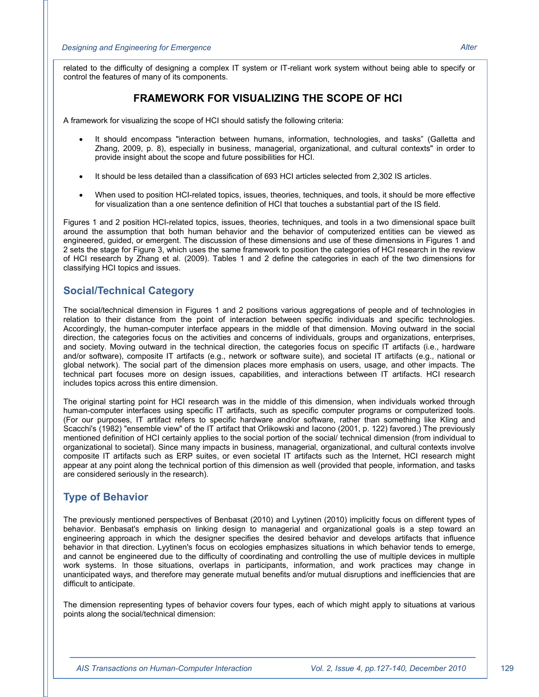related to the difficulty of designing a complex IT system or IT-reliant work system without being able to specify or control the features of many of its components.

### **FRAMEWORK FOR VISUALIZING THE SCOPE OF HCI**

A framework for visualizing the scope of HCI should satisfy the following criteria:

- It should encompass "interaction between humans, information, technologies, and tasks" (Galletta and Zhang, 2009, p. 8), especially in business, managerial, organizational, and cultural contexts" in order to provide insight about the scope and future possibilities for HCI.
- It should be less detailed than a classification of 693 HCI articles selected from 2,302 IS articles.
- When used to position HCI-related topics, issues, theories, techniques, and tools, it should be more effective for visualization than a one sentence definition of HCI that touches a substantial part of the IS field.

Figures 1 and 2 position HCI-related topics, issues, theories, techniques, and tools in a two dimensional space built around the assumption that both human behavior and the behavior of computerized entities can be viewed as engineered, guided, or emergent. The discussion of these dimensions and use of these dimensions in Figures 1 and 2 sets the stage for Figure 3, which uses the same framework to position the categories of HCI research in the review of HCI research by Zhang et al. (2009). Tables 1 and 2 define the categories in each of the two dimensions for classifying HCI topics and issues.

#### **Social/Technical Category**

The social/technical dimension in Figures 1 and 2 positions various aggregations of people and of technologies in relation to their distance from the point of interaction between specific individuals and specific technologies. Accordingly, the human-computer interface appears in the middle of that dimension. Moving outward in the social direction, the categories focus on the activities and concerns of individuals, groups and organizations, enterprises, and society. Moving outward in the technical direction, the categories focus on specific IT artifacts (i.e., hardware and/or software), composite IT artifacts (e.g., network or software suite), and societal IT artifacts (e.g., national or global network). The social part of the dimension places more emphasis on users, usage, and other impacts. The technical part focuses more on design issues, capabilities, and interactions between IT artifacts. HCI research includes topics across this entire dimension.

The original starting point for HCI research was in the middle of this dimension, when individuals worked through human-computer interfaces using specific IT artifacts, such as specific computer programs or computerized tools. (For our purposes, IT artifact refers to specific hardware and/or software, rather than something like Kling and Scacchi's (1982) "ensemble view" of the IT artifact that Orlikowski and Iacono (2001, p. 122) favored.) The previously mentioned definition of HCI certainly applies to the social portion of the social/ technical dimension (from individual to organizational to societal). Since many impacts in business, managerial, organizational, and cultural contexts involve composite IT artifacts such as ERP suites, or even societal IT artifacts such as the Internet, HCI research might appear at any point along the technical portion of this dimension as well (provided that people, information, and tasks are considered seriously in the research).

### **Type of Behavior**

The previously mentioned perspectives of Benbasat (2010) and Lyytinen (2010) implicitly focus on different types of behavior. Benbasat's emphasis on linking design to managerial and organizational goals is a step toward an engineering approach in which the designer specifies the desired behavior and develops artifacts that influence behavior in that direction. Lyytinen's focus on ecologies emphasizes situations in which behavior tends to emerge, and cannot be engineered due to the difficulty of coordinating and controlling the use of multiple devices in multiple work systems. In those situations, overlaps in participants, information, and work practices may change in unanticipated ways, and therefore may generate mutual benefits and/or mutual disruptions and inefficiencies that are difficult to anticipate.

The dimension representing types of behavior covers four types, each of which might apply to situations at various points along the social/technical dimension: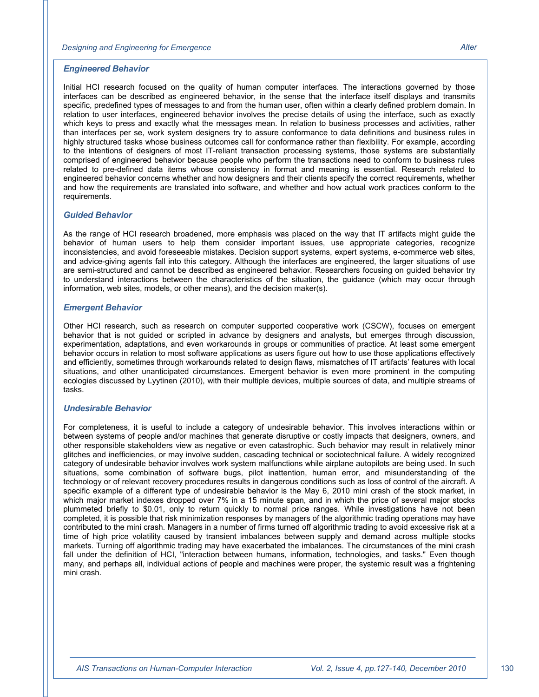Initial HCI research focused on the quality of human computer interfaces. The interactions governed by those interfaces can be described as engineered behavior, in the sense that the interface itself displays and transmits specific, predefined types of messages to and from the human user, often within a clearly defined problem domain. In relation to user interfaces, engineered behavior involves the precise details of using the interface, such as exactly which keys to press and exactly what the messages mean. In relation to business processes and activities, rather than interfaces per se, work system designers try to assure conformance to data definitions and business rules in highly structured tasks whose business outcomes call for conformance rather than flexibility. For example, according to the intentions of designers of most IT-reliant transaction processing systems, those systems are substantially comprised of engineered behavior because people who perform the transactions need to conform to business rules related to pre-defined data items whose consistency in format and meaning is essential. Research related to engineered behavior concerns whether and how designers and their clients specify the correct requirements, whether and how the requirements are translated into software, and whether and how actual work practices conform to the

#### *Guided Behavior*

requirements.

As the range of HCI research broadened, more emphasis was placed on the way that IT artifacts might guide the behavior of human users to help them consider important issues, use appropriate categories, recognize inconsistencies, and avoid foreseeable mistakes. Decision support systems, expert systems, e-commerce web sites, and advice-giving agents fall into this category. Although the interfaces are engineered, the larger situations of use are semi-structured and cannot be described as engineered behavior. Researchers focusing on guided behavior try to understand interactions between the characteristics of the situation, the guidance (which may occur through information, web sites, models, or other means), and the decision maker(s).

#### *Emergent Behavior*

Other HCI research, such as research on computer supported cooperative work (CSCW), focuses on emergent behavior that is not guided or scripted in advance by designers and analysts, but emerges through discussion, experimentation, adaptations, and even workarounds in groups or communities of practice. At least some emergent behavior occurs in relation to most software applications as users figure out how to use those applications effectively and efficiently, sometimes through workarounds related to design flaws, mismatches of IT artifacts' features with local situations, and other unanticipated circumstances. Emergent behavior is even more prominent in the computing ecologies discussed by Lyytinen (2010), with their multiple devices, multiple sources of data, and multiple streams of tasks.

#### *Undesirable Behavior*

For completeness, it is useful to include a category of undesirable behavior. This involves interactions within or between systems of people and/or machines that generate disruptive or costly impacts that designers, owners, and other responsible stakeholders view as negative or even catastrophic. Such behavior may result in relatively minor glitches and inefficiencies, or may involve sudden, cascading technical or sociotechnical failure. A widely recognized category of undesirable behavior involves work system malfunctions while airplane autopilots are being used. In such situations, some combination of software bugs, pilot inattention, human error, and misunderstanding of the technology or of relevant recovery procedures results in dangerous conditions such as loss of control of the aircraft. A specific example of a different type of undesirable behavior is the May 6, 2010 mini crash of the stock market, in which major market indexes dropped over 7% in a 15 minute span, and in which the price of several major stocks plummeted briefly to \$0.01, only to return quickly to normal price ranges. While investigations have not been completed, it is possible that risk minimization responses by managers of the algorithmic trading operations may have contributed to the mini crash. Managers in a number of firms turned off algorithmic trading to avoid excessive risk at a time of high price volatility caused by transient imbalances between supply and demand across multiple stocks markets. Turning off algorithmic trading may have exacerbated the imbalances. The circumstances of the mini crash fall under the definition of HCI, "interaction between humans, information, technologies, and tasks." Even though many, and perhaps all, individual actions of people and machines were proper, the systemic result was a frightening mini crash.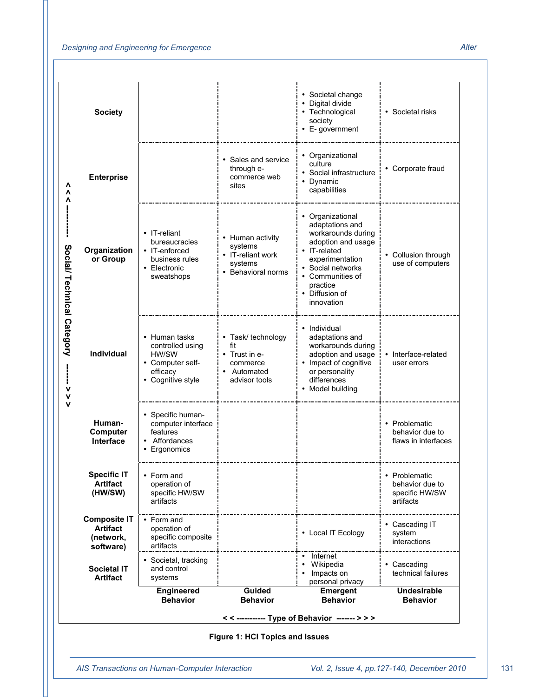#### *Designing and Engineering for Emergence Alter*

| • Digital divide<br><b>Society</b><br>• Technological<br>• Societal risks<br>society<br>• E-government<br>• Organizational<br>• Sales and service<br>culture<br>• Corporate fraud<br>through e-<br>• Social infrastructure<br>commerce web<br><b>Enterprise</b><br>• Dynamic<br>Λ<br>sites<br>capabilities<br>Λ<br>• Organizational<br>adaptations and<br>• IT-reliant<br>workarounds during<br>Human activity<br>adoption and usage<br>bureaucracies<br>systems<br>Social/ Technical Category<br>Organization<br>• IT-enforced<br>• IT-related<br>• IT-reliant work<br>• Collusion through<br>or Group<br>business rules<br>experimentation<br>systems<br>use of computers<br>• Social networks<br>• Electronic<br>• Behavioral norms<br>• Communities of<br>sweatshops<br>practice<br>• Diffusion of<br>innovation<br>• Individual<br>• Human tasks<br>• Task/ technology<br>adaptations and<br>fit<br>controlled using<br>workarounds during<br>Individual<br>• Trust in e-<br>• Interface-related<br>HW/SW<br>adoption and usage<br>• Impact of cognitive<br>• Computer self-<br>commerce<br>user errors<br>efficacy<br>or personality<br>• Automated<br>• Cognitive style<br>differences<br>advisor tools<br>• Model building<br>ν<br>v<br>v<br>• Specific human-<br>Human-<br>• Problematic<br>computer interface<br>Computer<br>behavior due to<br>features<br>Affordances<br>flaws in interfaces<br>Interface<br>Ergonomics |  |  |                                 | • Societal change |  |
|-------------------------------------------------------------------------------------------------------------------------------------------------------------------------------------------------------------------------------------------------------------------------------------------------------------------------------------------------------------------------------------------------------------------------------------------------------------------------------------------------------------------------------------------------------------------------------------------------------------------------------------------------------------------------------------------------------------------------------------------------------------------------------------------------------------------------------------------------------------------------------------------------------------------------------------------------------------------------------------------------------------------------------------------------------------------------------------------------------------------------------------------------------------------------------------------------------------------------------------------------------------------------------------------------------------------------------------------------------------------------------------------------------------------------------------|--|--|---------------------------------|-------------------|--|
|                                                                                                                                                                                                                                                                                                                                                                                                                                                                                                                                                                                                                                                                                                                                                                                                                                                                                                                                                                                                                                                                                                                                                                                                                                                                                                                                                                                                                                     |  |  |                                 |                   |  |
|                                                                                                                                                                                                                                                                                                                                                                                                                                                                                                                                                                                                                                                                                                                                                                                                                                                                                                                                                                                                                                                                                                                                                                                                                                                                                                                                                                                                                                     |  |  |                                 |                   |  |
|                                                                                                                                                                                                                                                                                                                                                                                                                                                                                                                                                                                                                                                                                                                                                                                                                                                                                                                                                                                                                                                                                                                                                                                                                                                                                                                                                                                                                                     |  |  |                                 |                   |  |
|                                                                                                                                                                                                                                                                                                                                                                                                                                                                                                                                                                                                                                                                                                                                                                                                                                                                                                                                                                                                                                                                                                                                                                                                                                                                                                                                                                                                                                     |  |  |                                 |                   |  |
|                                                                                                                                                                                                                                                                                                                                                                                                                                                                                                                                                                                                                                                                                                                                                                                                                                                                                                                                                                                                                                                                                                                                                                                                                                                                                                                                                                                                                                     |  |  |                                 |                   |  |
| <b>Specific IT</b><br>• Problematic<br>• Form and<br><b>Artifact</b><br>operation of<br>behavior due to<br>(HW/SW)<br>specific HW/SW<br>specific HW/SW<br>artifacts<br>artifacts                                                                                                                                                                                                                                                                                                                                                                                                                                                                                                                                                                                                                                                                                                                                                                                                                                                                                                                                                                                                                                                                                                                                                                                                                                                    |  |  |                                 |                   |  |
| <b>Composite IT</b><br>• Form and<br>• Cascading IT<br><b>Artifact</b><br>operation of<br>• Local IT Ecology<br>system<br>specific composite<br>(network,<br>interactions<br>artifacts<br>software)                                                                                                                                                                                                                                                                                                                                                                                                                                                                                                                                                                                                                                                                                                                                                                                                                                                                                                                                                                                                                                                                                                                                                                                                                                 |  |  |                                 |                   |  |
| • Internet<br>• Societal, tracking<br>Wikipedia<br>• Cascading<br><b>Societal IT</b><br>and control<br>technical failures<br>Impacts on<br><b>Artifact</b><br>systems<br>personal privacy                                                                                                                                                                                                                                                                                                                                                                                                                                                                                                                                                                                                                                                                                                                                                                                                                                                                                                                                                                                                                                                                                                                                                                                                                                           |  |  |                                 |                   |  |
| Guided<br><b>Engineered</b><br><b>Emergent</b><br><b>Undesirable</b><br><b>Behavior</b><br><b>Behavior</b><br><b>Behavior</b><br><b>Behavior</b>                                                                                                                                                                                                                                                                                                                                                                                                                                                                                                                                                                                                                                                                                                                                                                                                                                                                                                                                                                                                                                                                                                                                                                                                                                                                                    |  |  |                                 |                   |  |
|                                                                                                                                                                                                                                                                                                                                                                                                                                                                                                                                                                                                                                                                                                                                                                                                                                                                                                                                                                                                                                                                                                                                                                                                                                                                                                                                                                                                                                     |  |  |                                 |                   |  |
| << ----------- Type of Behavior ------- > > >                                                                                                                                                                                                                                                                                                                                                                                                                                                                                                                                                                                                                                                                                                                                                                                                                                                                                                                                                                                                                                                                                                                                                                                                                                                                                                                                                                                       |  |  | Figure 1: HCI Topics and Issues |                   |  |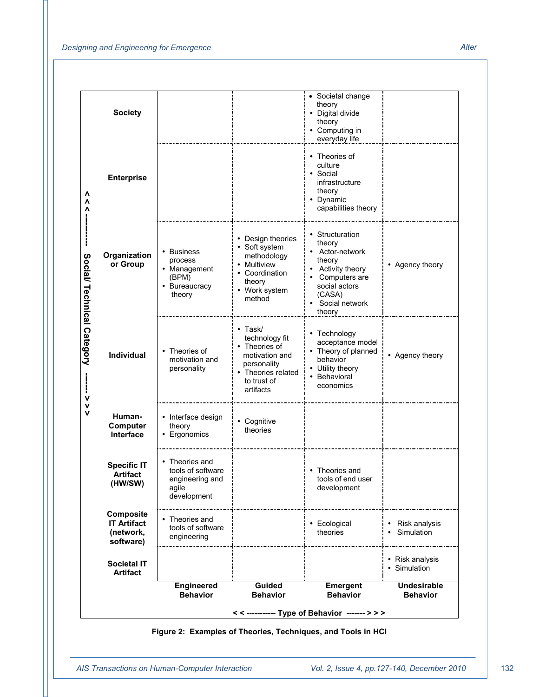|                            |                                                           |                                                                                |                                                                                                                                     | << ----------- Type of Behavior ------- > > ><br>Figure 2: Examples of Theories, Techniques, and Tools in HCI                                           |                                       |
|----------------------------|-----------------------------------------------------------|--------------------------------------------------------------------------------|-------------------------------------------------------------------------------------------------------------------------------------|---------------------------------------------------------------------------------------------------------------------------------------------------------|---------------------------------------|
|                            |                                                           | <b>Engineered</b><br><b>Behavior</b>                                           | Guided<br><b>Behavior</b>                                                                                                           | <b>Emergent</b><br><b>Behavior</b>                                                                                                                      | <b>Undesirable</b><br><b>Behavior</b> |
|                            | Societal IT<br><b>Artifact</b>                            |                                                                                |                                                                                                                                     |                                                                                                                                                         | • Risk analysis<br>• Simulation       |
|                            | Composite<br><b>IT Artifact</b><br>(network,<br>software) | • Theories and<br>tools of software<br>engineering                             |                                                                                                                                     | • Ecological<br>theories                                                                                                                                | • Risk analysis<br>• Simulation       |
|                            | <b>Specific IT</b><br><b>Artifact</b><br>(HW/SW)          | • Theories and<br>tools of software<br>engineering and<br>agile<br>development |                                                                                                                                     | • Theories and<br>tools of end user<br>development                                                                                                      |                                       |
|                            | Human-<br>Computer<br>Interface                           | • Interface design<br>theory<br>• Ergonomics                                   | • Cognitive<br>theories                                                                                                             |                                                                                                                                                         |                                       |
|                            | <b>Individual</b>                                         | • Theories of<br>motivation and<br>personality                                 | $\cdot$ Task/<br>technology fit<br>• Theories of<br>motivation and<br>personality<br>• Theories related<br>to trust of<br>artifacts | • Technology<br>acceptance model<br>• Theory of planned<br>behavior<br>• Utility theory<br>• Behavioral<br>economics                                    | • Agency theory                       |
| Social/ Technical Category | Organization<br>or Group                                  | • Business<br>process<br>• Management<br>(BPM)<br>• Bureaucracy<br>theory      | • Design theories<br>• Soft system<br>methodology<br>• Multiview<br>• Coordination<br>theory<br>• Work system<br>method             | • Structuration<br>theory<br>• Actor-network<br>theory<br>• Activity theory<br>• Computers are<br>social actors<br>(CASA)<br>• Social network<br>theory | • Agency theory                       |
|                            | <b>Enterprise</b>                                         |                                                                                |                                                                                                                                     | • Theories of<br>culture<br>• Social<br>infrastructure<br>theory<br>• Dynamic<br>capabilities theory                                                    |                                       |
|                            | <b>Society</b>                                            |                                                                                |                                                                                                                                     | theory<br>• Digital divide<br>theory<br>• Computing in<br>everyday life                                                                                 |                                       |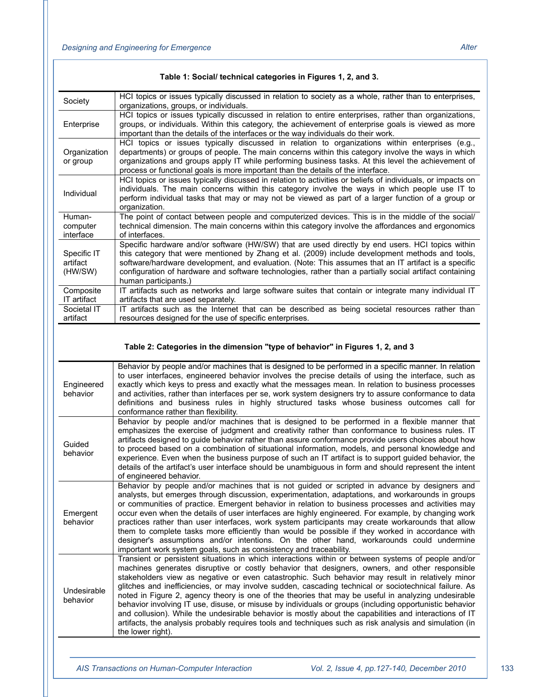| Society                            | HCI topics or issues typically discussed in relation to society as a whole, rather than to enterprises,<br>organizations, groups, or individuals.                                                                                                                                                                                                                                                                                              |
|------------------------------------|------------------------------------------------------------------------------------------------------------------------------------------------------------------------------------------------------------------------------------------------------------------------------------------------------------------------------------------------------------------------------------------------------------------------------------------------|
| Enterprise                         | HCI topics or issues typically discussed in relation to entire enterprises, rather than organizations,<br>groups, or individuals. Within this category, the achievement of enterprise goals is viewed as more<br>important than the details of the interfaces or the way individuals do their work.                                                                                                                                            |
| Organization<br>or group           | HCI topics or issues typically discussed in relation to organizations within enterprises (e.g.,<br>departments) or groups of people. The main concerns within this category involve the ways in which<br>organizations and groups apply IT while performing business tasks. At this level the achievement of<br>process or functional goals is more important than the details of the interface.                                               |
| Individual                         | HCI topics or issues typically discussed in relation to activities or beliefs of individuals, or impacts on<br>individuals. The main concerns within this category involve the ways in which people use IT to<br>perform individual tasks that may or may not be viewed as part of a larger function of a group or<br>organization.                                                                                                            |
| Human-                             | The point of contact between people and computerized devices. This is in the middle of the social/                                                                                                                                                                                                                                                                                                                                             |
| computer<br>interface              | technical dimension. The main concerns within this category involve the affordances and ergonomics<br>of interfaces.                                                                                                                                                                                                                                                                                                                           |
| Specific IT<br>artifact<br>(HW/SW) | Specific hardware and/or software (HW/SW) that are used directly by end users. HCI topics within<br>this category that were mentioned by Zhang et al. (2009) include development methods and tools.<br>software/hardware development, and evaluation. (Note: This assumes that an IT artifact is a specific<br>configuration of hardware and software technologies, rather than a partially social artifact containing<br>human participants.) |
| Composite<br>IT artifact           | IT artifacts such as networks and large software suites that contain or integrate many individual IT<br>artifacts that are used separately.                                                                                                                                                                                                                                                                                                    |
| Societal IT<br>artifact            | IT artifacts such as the Internet that can be described as being societal resources rather than<br>resources designed for the use of specific enterprises.                                                                                                                                                                                                                                                                                     |

#### **Table 1: Social/ technical categories in Figures 1, 2, and 3.**

#### **Table 2: Categories in the dimension "type of behavior" in Figures 1, 2, and 3**

| Engineered<br>behavior  | Behavior by people and/or machines that is designed to be performed in a specific manner. In relation<br>to user interfaces, engineered behavior involves the precise details of using the interface, such as<br>exactly which keys to press and exactly what the messages mean. In relation to business processes<br>and activities, rather than interfaces per se, work system designers try to assure conformance to data<br>definitions and business rules in highly structured tasks whose business outcomes call for<br>conformance rather than flexibility.                                                                                                                                                                                                                                                                                                             |
|-------------------------|--------------------------------------------------------------------------------------------------------------------------------------------------------------------------------------------------------------------------------------------------------------------------------------------------------------------------------------------------------------------------------------------------------------------------------------------------------------------------------------------------------------------------------------------------------------------------------------------------------------------------------------------------------------------------------------------------------------------------------------------------------------------------------------------------------------------------------------------------------------------------------|
| Guided<br>behavior      | Behavior by people and/or machines that is designed to be performed in a flexible manner that<br>emphasizes the exercise of judgment and creativity rather than conformance to business rules. IT<br>artifacts designed to guide behavior rather than assure conformance provide users choices about how<br>to proceed based on a combination of situational information, models, and personal knowledge and<br>experience. Even when the business purpose of such an IT artifact is to support guided behavior, the<br>details of the artifact's user interface should be unambiguous in form and should represent the intent<br>of engineered behavior.                                                                                                                                                                                                                      |
| Emergent<br>behavior    | Behavior by people and/or machines that is not guided or scripted in advance by designers and<br>analysts, but emerges through discussion, experimentation, adaptations, and workarounds in groups<br>or communities of practice. Emergent behavior in relation to business processes and activities may<br>occur even when the details of user interfaces are highly engineered. For example, by changing work<br>practices rather than user interfaces, work system participants may create workarounds that allow<br>them to complete tasks more efficiently than would be possible if they worked in accordance with<br>designer's assumptions and/or intentions. On the other hand, workarounds could undermine<br>important work system goals, such as consistency and traceability.                                                                                     |
| Undesirable<br>behavior | Transient or persistent situations in which interactions within or between systems of people and/or<br>machines generates disruptive or costly behavior that designers, owners, and other responsible<br>stakeholders view as negative or even catastrophic. Such behavior may result in relatively minor<br>glitches and inefficiencies, or may involve sudden, cascading technical or sociotechnical failure. As<br>noted in Figure 2, agency theory is one of the theories that may be useful in analyzing undesirable<br>behavior involving IT use, disuse, or misuse by individuals or groups (including opportunistic behavior<br>and collusion). While the undesirable behavior is mostly about the capabilities and interactions of IT<br>artifacts, the analysis probably requires tools and techniques such as risk analysis and simulation (in<br>the lower right). |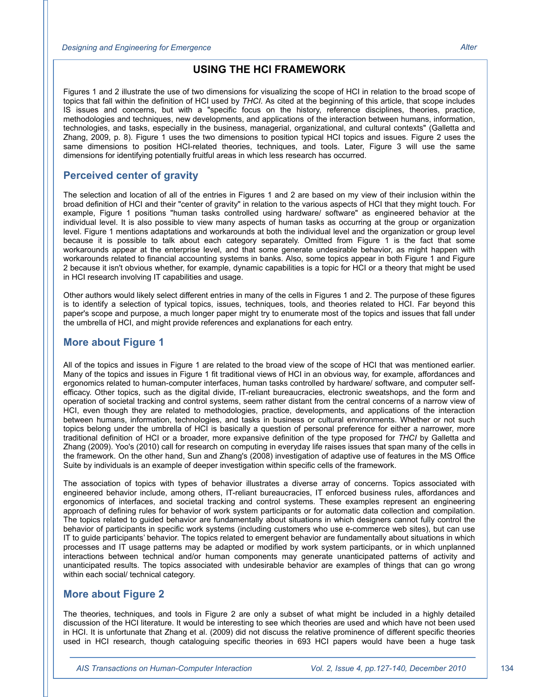#### **USING THE HCI FRAMEWORK**

Figures 1 and 2 illustrate the use of two dimensions for visualizing the scope of HCI in relation to the broad scope of topics that fall within the definition of HCI used by *THCI*. As cited at the beginning of this article, that scope includes IS issues and concerns, but with a "specific focus on the history, reference disciplines, theories, practice, methodologies and techniques, new developments, and applications of the interaction between humans, information, technologies, and tasks, especially in the business, managerial, organizational, and cultural contexts" (Galletta and Zhang, 2009, p. 8). Figure 1 uses the two dimensions to position typical HCI topics and issues. Figure 2 uses the same dimensions to position HCI-related theories, techniques, and tools. Later, Figure 3 will use the same dimensions for identifying potentially fruitful areas in which less research has occurred.

#### **Perceived center of gravity**

The selection and location of all of the entries in Figures 1 and 2 are based on my view of their inclusion within the broad definition of HCI and their "center of gravity" in relation to the various aspects of HCI that they might touch. For example, Figure 1 positions "human tasks controlled using hardware/ software" as engineered behavior at the individual level. It is also possible to view many aspects of human tasks as occurring at the group or organization level. Figure 1 mentions adaptations and workarounds at both the individual level and the organization or group level because it is possible to talk about each category separately. Omitted from Figure 1 is the fact that some workarounds appear at the enterprise level, and that some generate undesirable behavior, as might happen with workarounds related to financial accounting systems in banks. Also, some topics appear in both Figure 1 and Figure 2 because it isn't obvious whether, for example, dynamic capabilities is a topic for HCI or a theory that might be used in HCI research involving IT capabilities and usage.

Other authors would likely select different entries in many of the cells in Figures 1 and 2. The purpose of these figures is to identify a selection of typical topics, issues, techniques, tools, and theories related to HCI. Far beyond this paper's scope and purpose, a much longer paper might try to enumerate most of the topics and issues that fall under the umbrella of HCI, and might provide references and explanations for each entry.

#### **More about Figure 1**

All of the topics and issues in Figure 1 are related to the broad view of the scope of HCI that was mentioned earlier. Many of the topics and issues in Figure 1 fit traditional views of HCI in an obvious way, for example, affordances and ergonomics related to human-computer interfaces, human tasks controlled by hardware/ software, and computer selfefficacy. Other topics, such as the digital divide, IT-reliant bureaucracies, electronic sweatshops, and the form and operation of societal tracking and control systems, seem rather distant from the central concerns of a narrow view of HCI, even though they are related to methodologies, practice, developments, and applications of the interaction between humans, information, technologies, and tasks in business or cultural environments. Whether or not such topics belong under the umbrella of HCI is basically a question of personal preference for either a narrower, more traditional definition of HCI or a broader, more expansive definition of the type proposed for *THCI* by Galletta and Zhang (2009). Yoo's (2010) call for research on computing in everyday life raises issues that span many of the cells in the framework. On the other hand, Sun and Zhang's (2008) investigation of adaptive use of features in the MS Office Suite by individuals is an example of deeper investigation within specific cells of the framework.

The association of topics with types of behavior illustrates a diverse array of concerns. Topics associated with engineered behavior include, among others, IT-reliant bureaucracies, IT enforced business rules, affordances and ergonomics of interfaces, and societal tracking and control systems. These examples represent an engineering approach of defining rules for behavior of work system participants or for automatic data collection and compilation. The topics related to guided behavior are fundamentally about situations in which designers cannot fully control the behavior of participants in specific work systems (including customers who use e-commerce web sites), but can use IT to guide participants' behavior. The topics related to emergent behavior are fundamentally about situations in which processes and IT usage patterns may be adapted or modified by work system participants, or in which unplanned interactions between technical and/or human components may generate unanticipated patterns of activity and unanticipated results. The topics associated with undesirable behavior are examples of things that can go wrong within each social/ technical category.

#### **More about Figure 2**

The theories, techniques, and tools in Figure 2 are only a subset of what might be included in a highly detailed discussion of the HCI literature. It would be interesting to see which theories are used and which have not been used in HCI. It is unfortunate that Zhang et al. (2009) did not discuss the relative prominence of different specific theories used in HCI research, though cataloguing specific theories in 693 HCI papers would have been a huge task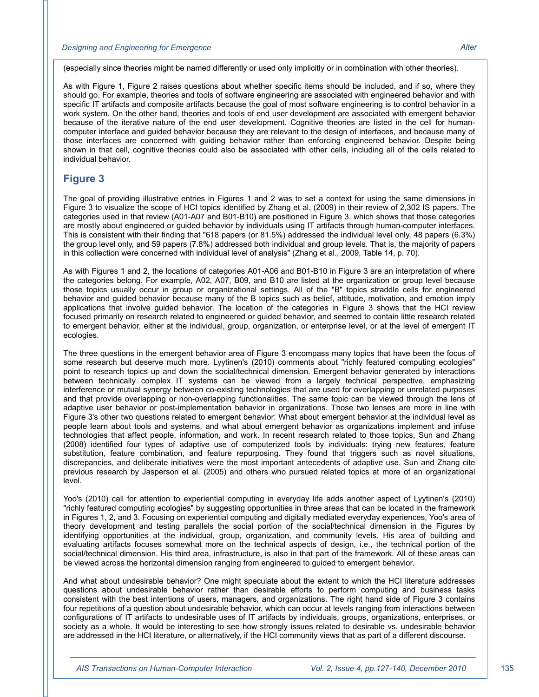#### *Designing and Engineering for Emergence Alter*

(especially since theories might be named differently or used only implicitly or in combination with other theories).

As with Figure 1, Figure 2 raises questions about whether specific items should be included, and if so, where they should go. For example, theories and tools of software engineering are associated with engineered behavior and with specific IT artifacts and composite artifacts because the goal of most software engineering is to control behavior in a work system. On the other hand, theories and tools of end user development are associated with emergent behavior because of the iterative nature of the end user development. Cognitive theories are listed in the cell for humancomputer interface and guided behavior because they are relevant to the design of interfaces, and because many of those interfaces are concerned with guiding behavior rather than enforcing engineered behavior. Despite being shown in that cell, cognitive theories could also be associated with other cells, including all of the cells related to individual behavior.

#### **Figure 3**

The goal of providing illustrative entries in Figures 1 and 2 was to set a context for using the same dimensions in Figure 3 to visualize the scope of HCI topics identified by Zhang et al. (2009) in their review of 2,302 IS papers. The categories used in that review (A01-A07 and B01-B10) are positioned in Figure 3, which shows that those categories are mostly about engineered or guided behavior by individuals using IT artifacts through human-computer interfaces. This is consistent with their finding that "618 papers (or 81.5%) addressed the individual level only, 48 papers (6.3%) the group level only, and 59 papers (7.8%) addressed both individual and group levels. That is, the majority of papers in this collection were concerned with individual level of analysis" (Zhang et al., 2009, Table 14, p. 70).

As with Figures 1 and 2, the locations of categories A01-A06 and B01-B10 in Figure 3 are an interpretation of where the categories belong. For example, A02, A07, B09, and B10 are listed at the organization or group level because those topics usually occur in group or organizational settings. All of the "B" topics straddle cells for engineered behavior and guided behavior because many of the B topics such as belief, attitude, motivation, and emotion imply applications that involve guided behavior. The location of the categories in Figure 3 shows that the HCI review focused primarily on research related to engineered or guided behavior, and seemed to contain little research related to emergent behavior, either at the individual, group, organization, or enterprise level, or at the level of emergent IT ecologies.

The three questions in the emergent behavior area of Figure 3 encompass many topics that have been the focus of some research but deserve much more. Lyytinen's (2010) comments about "richly featured computing ecologies" point to research topics up and down the social/technical dimension. Emergent behavior generated by interactions between technically complex IT systems can be viewed from a largely technical perspective, emphasizing interference or mutual synergy between co-existing technologies that are used for overlapping or unrelated purposes and that provide overlapping or non-overlapping functionalities. The same topic can be viewed through the lens of adaptive user behavior or post-implementation behavior in organizations. Those two lenses are more in line with Figure 3's other two questions related to emergent behavior: What about emergent behavior at the individual level as people learn about tools and systems, and what about emergent behavior as organizations implement and infuse technologies that affect people, information, and work. In recent research related to those topics, Sun and Zhang (2008) identified four types of adaptive use of computerized tools by individuals: trying new features, feature substitution, feature combination, and feature repurposing. They found that triggers such as novel situations, discrepancies, and deliberate initiatives were the most important antecedents of adaptive use. Sun and Zhang cite previous research by Jasperson et al. (2005) and others who pursued related topics at more of an organizational level.

Yoo's (2010) call for attention to experiential computing in everyday life adds another aspect of Lyytinen's (2010) "richly featured computing ecologies" by suggesting opportunities in three areas that can be located in the framework in Figures 1, 2, and 3. Focusing on experiential computing and digitally mediated everyday experiences, Yoo's area of theory development and testing parallels the social portion of the social/technical dimension in the Figures by identifying opportunities at the individual, group, organization, and community levels. His area of building and evaluating artifacts focuses somewhat more on the technical aspects of design, i.e., the technical portion of the social/technical dimension. His third area, infrastructure, is also in that part of the framework. All of these areas can be viewed across the horizontal dimension ranging from engineered to guided to emergent behavior.

And what about undesirable behavior? One might speculate about the extent to which the HCI literature addresses questions about undesirable behavior rather than desirable efforts to perform computing and business tasks consistent with the best intentions of users, managers, and organizations. The right hand side of Figure 3 contains four repetitions of a question about undesirable behavior, which can occur at levels ranging from interactions between configurations of IT artifacts to undesirable uses of IT artifacts by individuals, groups, organizations, enterprises, or society as a whole. It would be interesting to see how strongly issues related to desirable vs. undesirable behavior are addressed in the HCI literature, or alternatively, if the HCI community views that as part of a different discourse.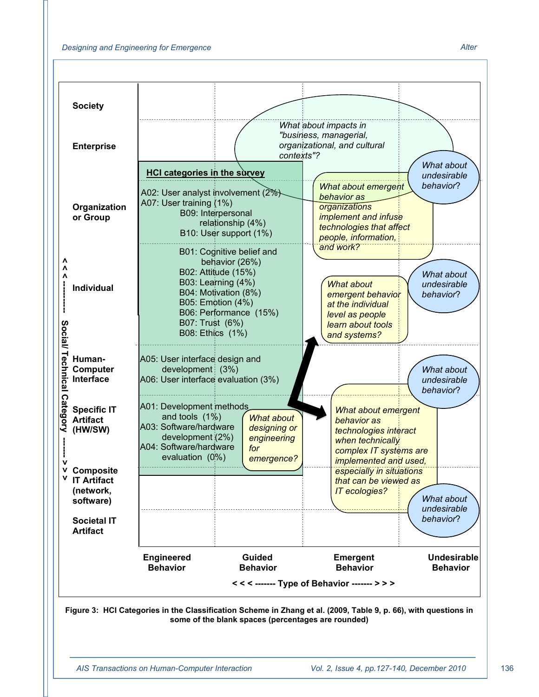

**some of the blank spaces (percentages are rounded)**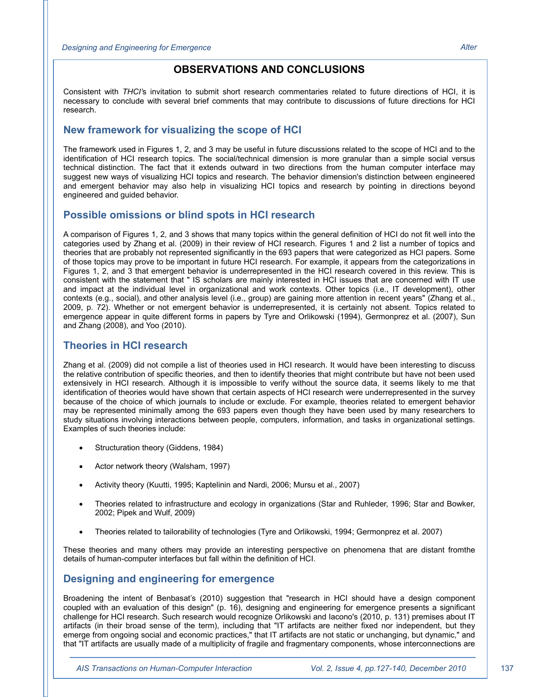#### **OBSERVATIONS AND CONCLUSIONS**

Consistent with *THCI'*s invitation to submit short research commentaries related to future directions of HCI, it is necessary to conclude with several brief comments that may contribute to discussions of future directions for HCI research.

#### **New framework for visualizing the scope of HCI**

The framework used in Figures 1, 2, and 3 may be useful in future discussions related to the scope of HCI and to the identification of HCI research topics. The social/technical dimension is more granular than a simple social versus technical distinction. The fact that it extends outward in two directions from the human computer interface may suggest new ways of visualizing HCI topics and research. The behavior dimension's distinction between engineered and emergent behavior may also help in visualizing HCI topics and research by pointing in directions beyond engineered and guided behavior.

#### **Possible omissions or blind spots in HCI research**

A comparison of Figures 1, 2, and 3 shows that many topics within the general definition of HCI do not fit well into the categories used by Zhang et al. (2009) in their review of HCI research. Figures 1 and 2 list a number of topics and theories that are probably not represented significantly in the 693 papers that were categorized as HCI papers. Some of those topics may prove to be important in future HCI research. For example, it appears from the categorizations in Figures 1, 2, and 3 that emergent behavior is underrepresented in the HCI research covered in this review. This is consistent with the statement that " IS scholars are mainly interested in HCI issues that are concerned with IT use and impact at the individual level in organizational and work contexts. Other topics (i.e., IT development), other contexts (e.g., social), and other analysis level (i.e., group) are gaining more attention in recent years" (Zhang et al., 2009, p. 72). Whether or not emergent behavior is underrepresented, it is certainly not absent. Topics related to emergence appear in quite different forms in papers by Tyre and Orlikowski (1994), Germonprez et al. (2007), Sun and Zhang (2008), and Yoo (2010).

#### **Theories in HCI research**

Zhang et al. (2009) did not compile a list of theories used in HCI research. It would have been interesting to discuss the relative contribution of specific theories, and then to identify theories that might contribute but have not been used extensively in HCI research. Although it is impossible to verify without the source data, it seems likely to me that identification of theories would have shown that certain aspects of HCI research were underrepresented in the survey because of the choice of which journals to include or exclude. For example, theories related to emergent behavior may be represented minimally among the 693 papers even though they have been used by many researchers to study situations involving interactions between people, computers, information, and tasks in organizational settings. Examples of such theories include:

- Structuration theory (Giddens, 1984)
- Actor network theory (Walsham, 1997)
- Activity theory (Kuutti, 1995; Kaptelinin and Nardi, 2006; Mursu et al., 2007)
- x Theories related to infrastructure and ecology in organizations (Star and Ruhleder, 1996; Star and Bowker, 2002; Pipek and Wulf, 2009)
- x Theories related to tailorability of technologies (Tyre and Orlikowski, 1994; Germonprez et al. 2007)

These theories and many others may provide an interesting perspective on phenomena that are distant fromthe details of human-computer interfaces but fall within the definition of HCI.

#### **Designing and engineering for emergence**

Broadening the intent of Benbasat's (2010) suggestion that "research in HCI should have a design component coupled with an evaluation of this design" (p. 16), designing and engineering for emergence presents a significant challenge for HCI research. Such research would recognize Orlikowski and Iacono's (2010, p. 131) premises about IT artifacts (in their broad sense of the term), including that "IT artifacts are neither fixed nor independent, but they emerge from ongoing social and economic practices," that IT artifacts are not static or unchanging, but dynamic," and that "IT artifacts are usually made of a multiplicity of fragile and fragmentary components, whose interconnections are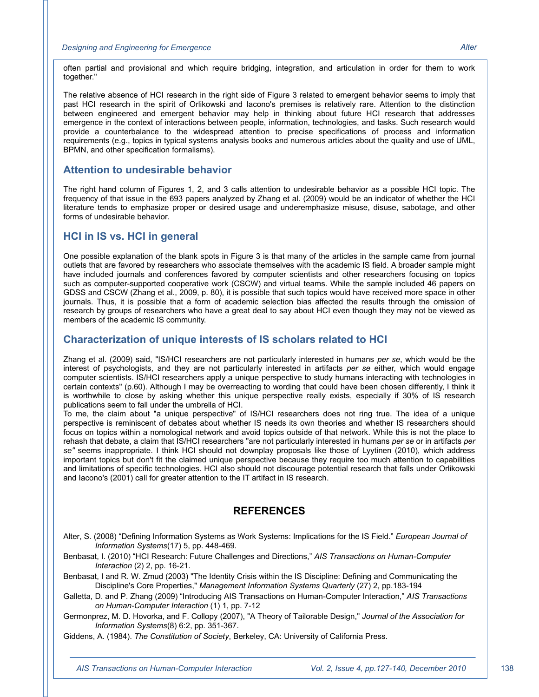often partial and provisional and which require bridging, integration, and articulation in order for them to work together."

The relative absence of HCI research in the right side of Figure 3 related to emergent behavior seems to imply that past HCI research in the spirit of Orlikowski and Iacono's premises is relatively rare. Attention to the distinction between engineered and emergent behavior may help in thinking about future HCI research that addresses emergence in the context of interactions between people, information, technologies, and tasks. Such research would provide a counterbalance to the widespread attention to precise specifications of process and information requirements (e.g., topics in typical systems analysis books and numerous articles about the quality and use of UML, BPMN, and other specification formalisms).

#### **Attention to undesirable behavior**

The right hand column of Figures 1, 2, and 3 calls attention to undesirable behavior as a possible HCI topic. The frequency of that issue in the 693 papers analyzed by Zhang et al. (2009) would be an indicator of whether the HCI literature tends to emphasize proper or desired usage and underemphasize misuse, disuse, sabotage, and other forms of undesirable behavior.

#### **HCI in IS vs. HCI in general**

One possible explanation of the blank spots in Figure 3 is that many of the articles in the sample came from journal outlets that are favored by researchers who associate themselves with the academic IS field. A broader sample might have included journals and conferences favored by computer scientists and other researchers focusing on topics such as computer-supported cooperative work (CSCW) and virtual teams. While the sample included 46 papers on GDSS and CSCW (Zhang et al., 2009, p. 80), it is possible that such topics would have received more space in other journals. Thus, it is possible that a form of academic selection bias affected the results through the omission of research by groups of researchers who have a great deal to say about HCI even though they may not be viewed as members of the academic IS community.

#### **Characterization of unique interests of IS scholars related to HCI**

Zhang et al. (2009) said, "IS/HCI researchers are not particularly interested in humans *per se*, which would be the interest of psychologists, and they are not particularly interested in artifacts *per se* either, which would engage computer scientists. IS/HCI researchers apply a unique perspective to study humans interacting with technologies in certain contexts" (p.60). Although I may be overreacting to wording that could have been chosen differently, I think it is worthwhile to close by asking whether this unique perspective really exists, especially if 30% of IS research publications seem to fall under the umbrella of HCI.

To me, the claim about "a unique perspective" of IS/HCI researchers does not ring true. The idea of a unique perspective is reminiscent of debates about whether IS needs its own theories and whether IS researchers should focus on topics within a nomological network and avoid topics outside of that network. While this is not the place to rehash that debate, a claim that IS/HCI researchers "are not particularly interested in humans *per se* or in artifacts *per se"* seems inappropriate. I think HCI should not downplay proposals like those of Lyytinen (2010), which address important topics but don't fit the claimed unique perspective because they require too much attention to capabilities and limitations of specific technologies. HCI also should not discourage potential research that falls under Orlikowski and Iacono's (2001) call for greater attention to the IT artifact in IS research.

#### **REFERENCES**

Alter, S. (2008) "Defining Information Systems as Work Systems: Implications for the IS Field." *European Journal of Information Systems*(17) 5, pp. 448-469.

Benbasat, I. (2010) "HCI Research: Future Challenges and Directions," *AIS Transactions on Human-Computer Interaction* (2) 2, pp. 16-21.

Benbasat, I and R. W. Zmud (2003) "The Identity Crisis within the IS Discipline: Defining and Communicating the Discipline's Core Properties," *Management Information Systems Quarterly* (27) 2, pp.183-194

Galletta, D. and P. Zhang (2009) "Introducing AIS Transactions on Human-Computer Interaction," *AIS Transactions on Human-Computer Interaction* (1) 1, pp. 7-12

Germonprez, M. D. Hovorka, and F. Collopy (2007), "A Theory of Tailorable Design," *Journal of the Association for Information Systems*(8) 6:2, pp. 351-367.

Giddens, A. (1984). *The Constitution of Society*, Berkeley, CA: University of California Press.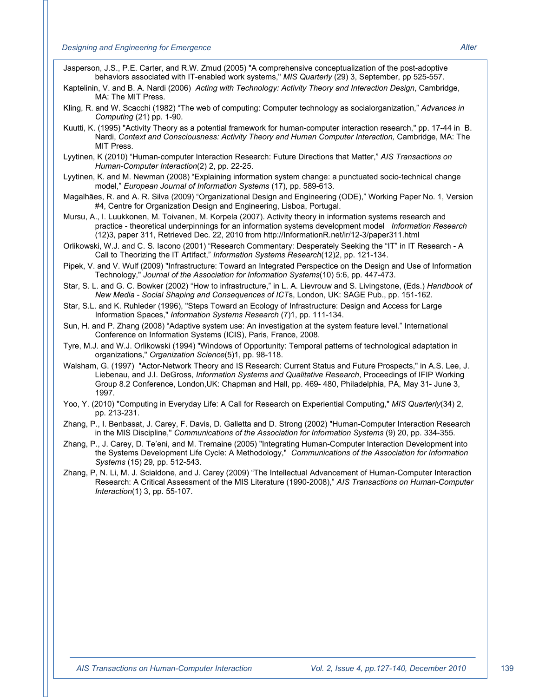- Jasperson, J.S., P.E. Carter, and R.W. Zmud (2005) "A comprehensive conceptualization of the post-adoptive behaviors associated with IT-enabled work systems," *MIS Quarterly* (29) 3, September, pp 525-557.
- Kaptelinin, V. and B. A. Nardi (2006) *Acting with Technology: Activity Theory and Interaction Design*, Cambridge, MA: The MIT Press.
- Kling, R. and W. Scacchi (1982) "The web of computing: Computer technology as socialorganization," *Advances in Computing* (21) pp. 1-90.
- Kuutti, K. (1995) "Activity Theory as a potential framework for human-computer interaction research," pp. 17-44 in B. Nardi, Context and Consciousness: Activity Theory and Human Computer Interaction, Cambridge, MA: The MIT Press.
- Lyytinen, K (2010) "Human-computer Interaction Research: Future Directions that Matter," *AIS Transactions on Human-Computer Interaction*(2) 2, pp. 22-25.
- Lyytinen, K. and M. Newman (2008) "Explaining information system change: a punctuated socio-technical change model," *European Journal of Information Systems* (17), pp. 589-613.
- Magalhães, R. and A. R. Silva (2009) "Organizational Design and Engineering (ODE)," Working Paper No. 1, Version #4, Centre for Organization Design and Engineering, Lisboa, Portugal.
- Mursu, A., I. Luukkonen, M. Toivanen, M. Korpela (2007). Activity theory in information systems research and practice - theoretical underpinnings for an information systems development model *Information Research* (12)3, paper 311, Retrieved Dec. 22, 2010 from http://InformationR.net/ir/12-3/paper311.html
- Orlikowski, W.J. and C. S. Iacono (2001) "Research Commentary: Desperately Seeking the "IT" in IT Research A Call to Theorizing the IT Artifact," *Information Systems Research*(12)2, pp. 121-134.
- Pipek, V. and V. Wulf (2009) "Infrastructure: Toward an Integrated Perspectice on the Design and Use of Information Technology," *Journal of the Association for Information Systems*(10) 5:6, pp. 447-473.
- Star, S. L. and G. C. Bowker (2002) "How to infrastructure," in L. A. Lievrouw and S. Livingstone, (Eds.) *Handbook of New Media - Social Shaping and Consequences of ICT*s, London, UK: SAGE Pub., pp. 151-162.
- Star, S.L. and K. Ruhleder (1996), "Steps Toward an Ecology of Infrastructure: Design and Access for Large Information Spaces," *Information Systems Research* (7)1, pp. 111-134.
- Sun, H. and P. Zhang (2008) "Adaptive system use: An investigation at the system feature level." International Conference on Information Systems (ICIS), Paris, France, 2008.
- Tyre, M.J. and W.J. Orlikowski (1994) "Windows of Opportunity: Temporal patterns of technological adaptation in organizations," *Organization Science*(5)1, pp. 98-118.
- Walsham, G. (1997) "Actor-Network Theory and IS Research: Current Status and Future Prospects," in A.S. Lee, J. Liebenau, and J.I. DeGross, *Information Systems and Qualitative Research*, Proceedings of IFIP Working Group 8.2 Conference, London,UK: Chapman and Hall, pp. 469- 480, Philadelphia, PA, May 31- June 3, 1997.
- Yoo, Y. (2010) "Computing in Everyday Life: A Call for Research on Experiential Computing," *MIS Quarterly*(34) 2, pp. 213-231.
- Zhang, P., I. Benbasat, J. Carey, F. Davis, D. Galletta and D. Strong (2002) "Human-Computer Interaction Research in the MIS Discipline," *Communications of the Association for Information Systems* (9) 20, pp. 334-355.
- Zhang, P., J. Carey, D. Te'eni, and M. Tremaine (2005) "Integrating Human-Computer Interaction Development into the Systems Development Life Cycle: A Methodology," *Communications of the Association for Information Systems* (15) 29, pp. 512-543.
- Zhang, P, N. Li, M. J. Scialdone, and J. Carey (2009) "The Intellectual Advancement of Human-Computer Interaction Research: A Critical Assessment of the MIS Literature (1990-2008)," *AIS Transactions on Human-Computer Interaction*(1) 3, pp. 55-107.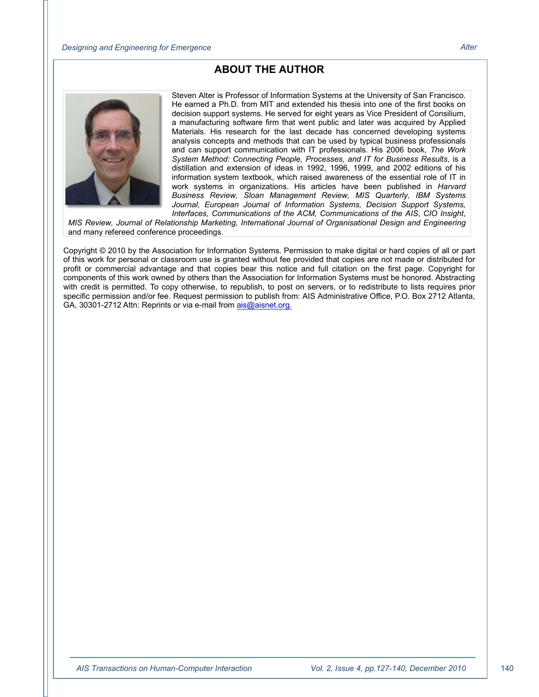#### **ABOUT THE AUTHOR**



Steven Alter is Professor of Information Systems at the University of San Francisco. He earned a Ph.D. from MIT and extended his thesis into one of the first books on decision support systems. He served for eight years as Vice President of Consilium, a manufacturing software firm that went public and later was acquired by Applied Materials. His research for the last decade has concerned developing systems analysis concepts and methods that can be used by typical business professionals and can support communication with IT professionals. His 2006 book, *The Work System Method: Connecting People, Processes, and IT for Business Results*, is a distillation and extension of ideas in 1992, 1996, 1999, and 2002 editions of his information system textbook, which raised awareness of the essential role of IT in work systems in organizations. His articles have been published in *Harvard Business Review, Sloan Management Review, MIS Quarterly, IBM Systems Journal, European Journal of Information Systems, Decision Support Systems, Interfaces, Communications of the ACM, Communications of the AIS*, *CIO Insight*,

*MIS Review, Journal of Relationship Marketing, International Journal of Organisational Design and Engineering* and many refereed conference proceedings.

Copyright © 2010 by the Association for Information Systems. Permission to make digital or hard copies of all or part of this work for personal or classroom use is granted without fee provided that copies are not made or distributed for profit or commercial advantage and that copies bear this notice and full citation on the first page. Copyright for components of this work owned by others than the Association for Information Systems must be honored. Abstracting with credit is permitted. To copy otherwise, to republish, to post on servers, or to redistribute to lists requires prior specific permission and/or fee. Request permission to publish from: AIS Administrative Office, P.O. Box 2712 Atlanta, GA, 30301-2712 Attn: Reprints or via e-mail from ais@aisnet.org.